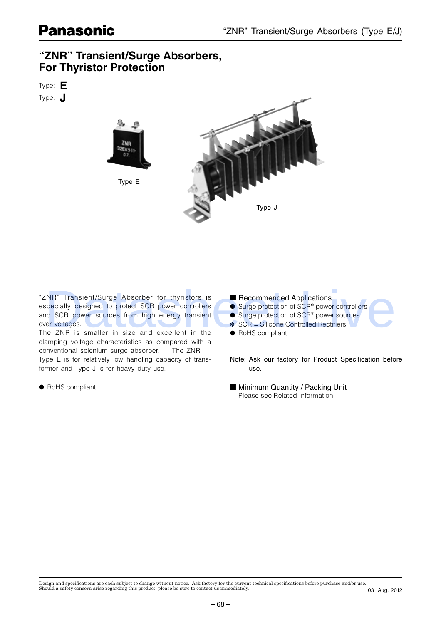# **For Thyristor Protection For Thyristor Protection**

Type: **E** Type: **J**



"ZNR" Transient/Surge Absorber for thyristors is especially designed to protect SCR power controllers and SCR power sources from high energy transient over voltages. The ZNR is smaller in size and excellent in the clamping voltage characteristics as compared with a conventional selenium surge absorber. The ZNR Type E is for relatively low handling capacity of transformer and Type J is for heavy duty use. **Commercised Applications controlled Supplementary of the commercial of Supplementary designed on the supplementary of Supplementary Controlled SCR power counters<br>
of SCR power sources for might anonymous discussions as c** 

● RoHS compliant

### ■ Recommended Applications

- Surge protection of SCR<sup>\*</sup> power controllers
- Surge protection of SCR<sup>\*</sup> power sources
- $SCR = Silicone$  Controlled Rectifiers
- RoHS compliant

Note: Ask our factory for Product Specification before use.

■ Minimum Quantity / Packing Unit Please see Related Information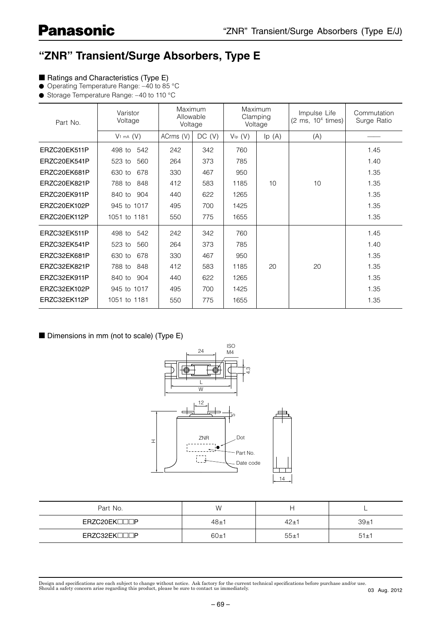### **"ZNR" Transient/Surge Absorbers, Type E**

- Ratings and Characteristics (Type E)
- Operating Temperature Range: -40 to 85 °C
- Storage Temperature Range: -40 to 110 °C

| Part No.     | Varistor<br>Voltage   | Maximum<br>Allowable<br>Voltage |        | <b>Maximum</b><br>Clamping<br>Voltage |       | Impulse Life<br>$(2 \text{ ms}, 10^4 \text{ times})$ | Commutation<br>Surge Ratio |  |
|--------------|-----------------------|---------------------------------|--------|---------------------------------------|-------|------------------------------------------------------|----------------------------|--|
|              | V <sub>1 mA</sub> (V) | ACrms (V)                       | DC (V) | $V_{lp}$ $(V)$                        | lp(A) | (A)                                                  |                            |  |
| ERZC20EK511P | 542<br>498 to         | 242                             | 342    | 760                                   |       |                                                      | 1.45                       |  |
| ERZC20EK541P | 523 to<br>560         | 264                             | 373    | 785                                   |       |                                                      | 1.40                       |  |
| ERZC20EK681P | 630 to<br>678         | 330                             | 467    | 950                                   |       |                                                      | 1.35                       |  |
| ERZC20EK821P | 788 to<br>848         | 412                             | 583    | 1185                                  | 10    | 10                                                   | 1.35                       |  |
| ERZC20EK911P | 904<br>840 to         | 440                             | 622    | 1265                                  |       |                                                      | 1.35                       |  |
| ERZC20EK102P | 945 to 1017           | 495                             | 700    | 1425                                  |       |                                                      | 1.35                       |  |
| ERZC20EK112P | 1051 to 1181          | 550                             | 775    | 1655                                  |       |                                                      | 1.35                       |  |
| ERZC32EK511P | 542<br>498 to         | 242                             | 342    | 760                                   |       |                                                      | 1.45                       |  |
| ERZC32EK541P | 523 to<br>560         | 264                             | 373    | 785                                   |       |                                                      | 1.40                       |  |
| ERZC32EK681P | 630 to<br>678         | 330                             | 467    | 950                                   |       |                                                      | 1.35                       |  |
| ERZC32EK821P | 788 to<br>848         | 412                             | 583    | 1185                                  | 20    | 20                                                   | 1.35                       |  |
| ERZC32EK911P | 840 to<br>904         | 440                             | 622    | 1265                                  |       |                                                      | 1.35                       |  |
| ERZC32EK102P | 945 to 1017           | 495                             | 700    | 1425                                  |       |                                                      | 1.35                       |  |
| ERZC32EK112P | 1051 to 1181          | 550                             | 775    | 1655                                  |       |                                                      | 1.35                       |  |

### ■ Dimensions in mm (not to scale) (Type E)



| Part No.                  | W        |          |      |
|---------------------------|----------|----------|------|
| ERZC20EK <sub>I</sub> IIP | $48 + 1$ | $42 + 1$ | 39±1 |
| ERZC32EK <sub>I</sub> IIP | 60±1     | $55 + 1$ | 51±1 |

Design and specifications are each subject to change without notice. Ask factory for the current technical specifications before purchase and/or use.<br>Should a safety concern arise regarding this product, please be sure to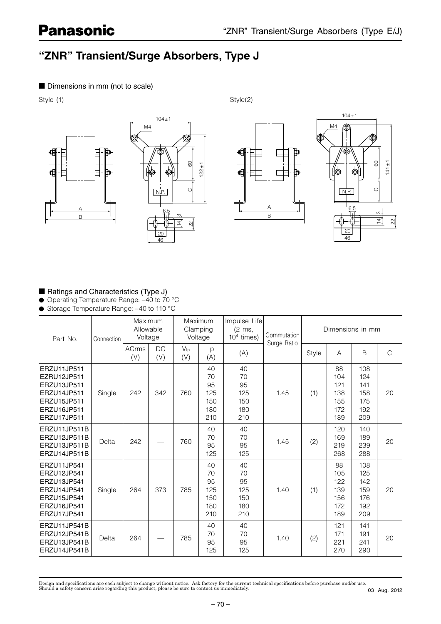## **"ZNR" Transient/Surge Absorbers, Type J**

#### ■ Dimensions in mm (not to scale)

Style (1) Style(2) Style(2)







#### ■ Ratings and Characteristics (Type J)

● Operating Temperature Range: -40 to 70 °C

● Storage Temperature Range: -40 to 110 °C

| Part No.                                                                                              | Connection | Maximum<br>Allowable<br>Voltage |                  | Maximum<br>Clamping<br>Voltage |                                            | Impulse Life<br>(2 ms,<br>$104$ times)     | Commutation | Dimensions in mm |                                              |                                               |              |
|-------------------------------------------------------------------------------------------------------|------------|---------------------------------|------------------|--------------------------------|--------------------------------------------|--------------------------------------------|-------------|------------------|----------------------------------------------|-----------------------------------------------|--------------|
|                                                                                                       |            | <b>ACrms</b><br>(V)             | <b>DC</b><br>(V) | $V_{\text{lp}}$<br>(V)         | Ip<br>(A)                                  | (A)                                        | Surge Ratio | Style            | $\overline{A}$                               | B                                             | $\mathsf{C}$ |
| ERZU11JP511<br>EZRU12JP511<br>ERZU13JP511<br>ERZU14JP511<br>ERZU15JP511<br>ERZU16JP511<br>ERZU17JP511 | Single     | 242                             | 342              | 760                            | 40<br>70<br>95<br>125<br>150<br>180<br>210 | 40<br>70<br>95<br>125<br>150<br>180<br>210 | 1.45        | (1)              | 88<br>104<br>121<br>138<br>155<br>172<br>189 | 108<br>124<br>141<br>158<br>175<br>192<br>209 | 20           |
| ERZU11JP511B<br>ERZU12JP511B<br>ERZU13JP511B<br>ERZU14JP511B                                          | Delta      | 242                             |                  | 760                            | 40<br>70<br>95<br>125                      | 40<br>70<br>95<br>125                      | 1.45        | (2)              | 120<br>169<br>219<br>268                     | 140<br>189<br>239<br>288                      | 20           |
| ERZU11JP541<br>ERZU12JP541<br>ERZU13JP541<br>ERZU14JP541<br>ERZU15JP541<br>ERZU16JP541<br>ERZU17JP541 | Single     | 264                             | 373              | 785                            | 40<br>70<br>95<br>125<br>150<br>180<br>210 | 40<br>70<br>95<br>125<br>150<br>180<br>210 | 1.40        | (1)              | 88<br>105<br>122<br>139<br>156<br>172<br>189 | 108<br>125<br>142<br>159<br>176<br>192<br>209 | 20           |
| ERZU11JP541B<br>ERZU12JP541B<br>ERZU13JP541B<br>ERZU14JP541B                                          | Delta      | 264                             |                  | 785                            | 40<br>70<br>95<br>125                      | 40<br>70<br>95<br>125                      | 1.40        | (2)              | 121<br>171<br>221<br>270                     | 141<br>191<br>241<br>290                      | 20           |

Design and specifications are each subject to change without notice. Ask factory for the current technical specifications before purchase and/or use.<br>Should a safety concern arise regarding this product, please be sure to